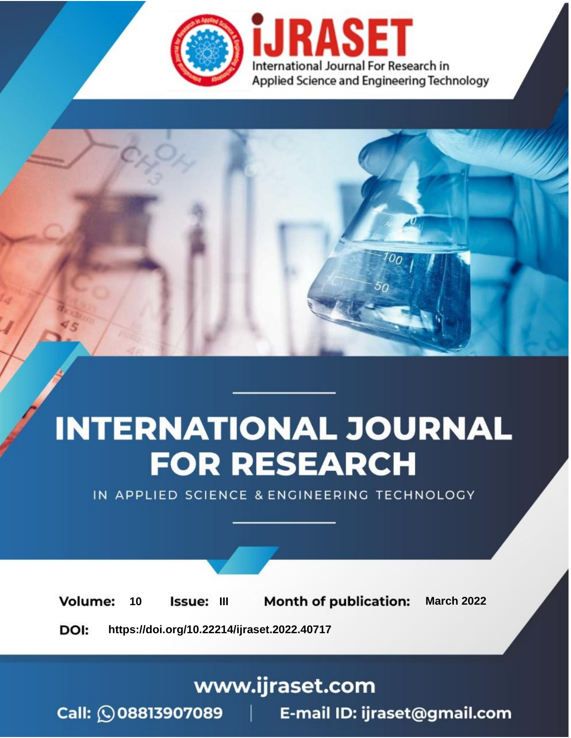

# **INTERNATIONAL JOURNAL FOR RESEARCH**

IN APPLIED SCIENCE & ENGINEERING TECHNOLOGY

**Month of publication: Volume:** 10 **Issue: III March 2022** DOI: https://doi.org/10.22214/ijraset.2022.40717

www.ijraset.com

Call: 008813907089 | E-mail ID: ijraset@gmail.com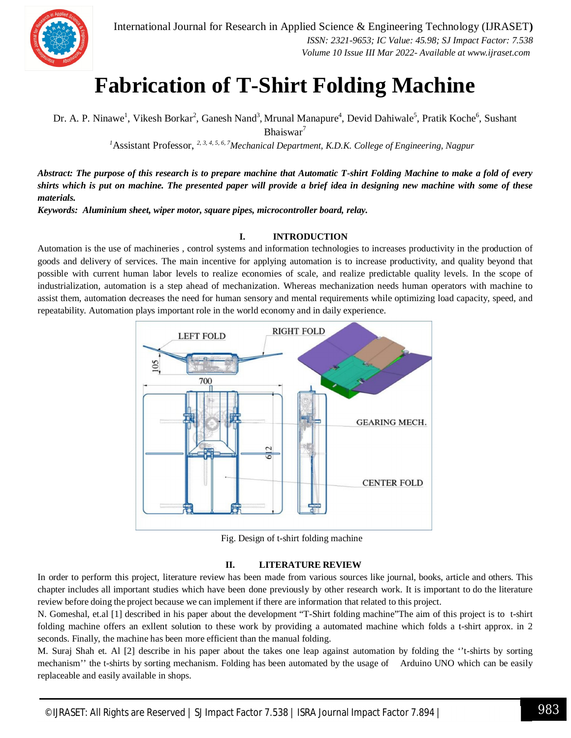

### **Fabrication of T-Shirt Folding Machine**

Dr. A. P. Ninawe<sup>1</sup>, Vikesh Borkar<sup>2</sup>, Ganesh Nand<sup>3</sup>, Mrunal Manapure<sup>4</sup>, Devid Dahiwale<sup>5</sup>, Pratik Koche<sup>6</sup>, Sushant Bhaiswar<sup>'</sup>

*<sup>1</sup>*Assistant Professor, *2, 3, 4, 5, 6, 7Mechanical Department, K.D.K. College of Engineering, Nagpur*

*Abstract: The purpose of this research is to prepare machine that Automatic T-shirt Folding Machine to make a fold of every shirts which is put on machine. The presented paper will provide a brief idea in designing new machine with some of these materials.*

*Keywords: Aluminium sheet, wiper motor, square pipes, microcontroller board, relay.*

#### **I. INTRODUCTION**

Automation is the use of machineries , control systems and information technologies to increases productivity in the production of goods and delivery of services. The main incentive for applying automation is to increase productivity, and quality beyond that possible with current human labor levels to realize economies of scale, and realize predictable quality levels. In the scope of industrialization, automation is a step ahead of mechanization. Whereas mechanization needs human operators with machine to assist them, automation decreases the need for human sensory and mental requirements while optimizing load capacity, speed, and repeatability. Automation plays important role in the world economy and in daily experience.



Fig. Design of t-shirt folding machine

#### **II. LITERATURE REVIEW**

In order to perform this project, literature review has been made from various sources like journal, books, article and others. This chapter includes all important studies which have been done previously by other research work. It is important to do the literature review before doing the project because we can implement if there are information that related to this project.

N. Gomeshal, et.al [1] described in his paper about the development "T-Shirt folding machine"The aim of this project is to t-shirt folding machine offers an exllent solution to these work by providing a automated machine which folds a t-shirt approx. in 2 seconds. Finally, the machine has been more efficient than the manual folding.

M. Suraj Shah et. Al [2] describe in his paper about the takes one leap against automation by folding the ''t-shirts by sorting mechanism'' the t-shirts by sorting mechanism. Folding has been automated by the usage of Arduino UNO which can be easily replaceable and easily available in shops.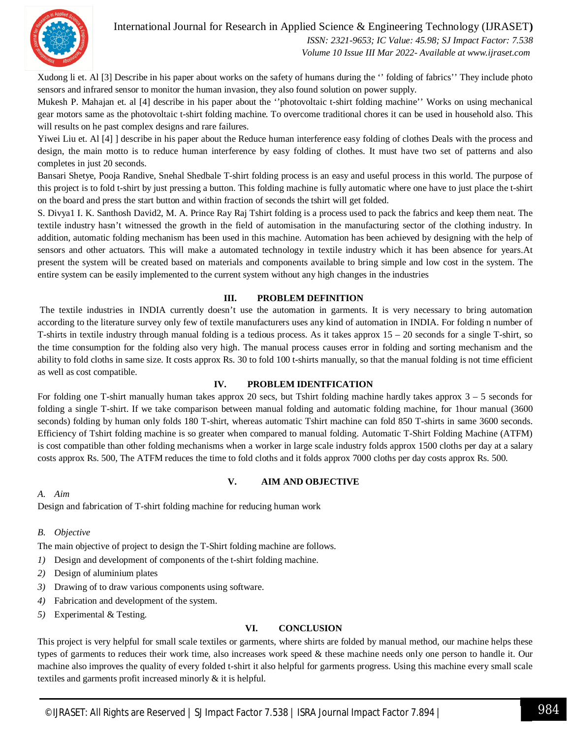

International Journal for Research in Applied Science & Engineering Technology (IJRASET**)**

 *ISSN: 2321-9653; IC Value: 45.98; SJ Impact Factor: 7.538 Volume 10 Issue III Mar 2022- Available at www.ijraset.com*

Xudong li et. Al [3] Describe in his paper about works on the safety of humans during the '' folding of fabrics'' They include photo sensors and infrared sensor to monitor the human invasion, they also found solution on power supply.

Mukesh P. Mahajan et. al [4] describe in his paper about the ''photovoltaic t-shirt folding machine'' Works on using mechanical gear motors same as the photovoltaic t-shirt folding machine. To overcome traditional chores it can be used in household also. This will results on he past complex designs and rare failures.

Yiwei Liu et. Al [4] ] describe in his paper about the Reduce human interference easy folding of clothes Deals with the process and design, the main motto is to reduce human interference by easy folding of clothes. It must have two set of patterns and also completes in just 20 seconds.

Bansari Shetye, Pooja Randive, Snehal Shedbale T-shirt folding process is an easy and useful process in this world. The purpose of this project is to fold t-shirt by just pressing a button. This folding machine is fully automatic where one have to just place the t-shirt on the board and press the start button and within fraction of seconds the tshirt will get folded.

S. Divya1 I. K. Santhosh David2, M. A. Prince Ray Raj Tshirt folding is a process used to pack the fabrics and keep them neat. The textile industry hasn't witnessed the growth in the field of automisation in the manufacturing sector of the clothing industry. In addition, automatic folding mechanism has been used in this machine. Automation has been achieved by designing with the help of sensors and other actuators. This will make a automated technology in textile industry which it has been absence for years.At present the system will be created based on materials and components available to bring simple and low cost in the system. The entire system can be easily implemented to the current system without any high changes in the industries

#### **III. PROBLEM DEFINITION**

The textile industries in INDIA currently doesn't use the automation in garments. It is very necessary to bring automation according to the literature survey only few of textile manufacturers uses any kind of automation in INDIA. For folding n number of T-shirts in textile industry through manual folding is a tedious process. As it takes approx  $15 - 20$  seconds for a single T-shirt, so the time consumption for the folding also very high. The manual process causes error in folding and sorting mechanism and the ability to fold cloths in same size. It costs approx Rs. 30 to fold 100 t-shirts manually, so that the manual folding is not time efficient as well as cost compatible.

#### **IV. PROBLEM IDENTFICATION**

For folding one T-shirt manually human takes approx 20 secs, but Tshirt folding machine hardly takes approx 3 – 5 seconds for folding a single T-shirt. If we take comparison between manual folding and automatic folding machine, for 1hour manual (3600 seconds) folding by human only folds 180 T-shirt, whereas automatic Tshirt machine can fold 850 T-shirts in same 3600 seconds. Efficiency of Tshirt folding machine is so greater when compared to manual folding. Automatic T-Shirt Folding Machine (ATFM) is cost compatible than other folding mechanisms when a worker in large scale industry folds approx 1500 cloths per day at a salary costs approx Rs. 500, The ATFM reduces the time to fold cloths and it folds approx 7000 cloths per day costs approx Rs. 500.

#### **V. AIM AND OBJECTIVE**

*A. Aim*

Design and fabrication of T-shirt folding machine for reducing human work

#### *B. Objective*

The main objective of project to design the T-Shirt folding machine are follows.

- *1)* Design and development of components of the t-shirt folding machine.
- *2)* Design of aluminium plates
- *3)* Drawing of to draw various components using software.
- *4)* Fabrication and development of the system.
- *5)* Experimental & Testing.

#### **VI. CONCLUSION**

This project is very helpful for small scale textiles or garments, where shirts are folded by manual method, our machine helps these types of garments to reduces their work time, also increases work speed & these machine needs only one person to handle it. Our machine also improves the quality of every folded t-shirt it also helpful for garments progress. Using this machine every small scale textiles and garments profit increased minorly & it is helpful.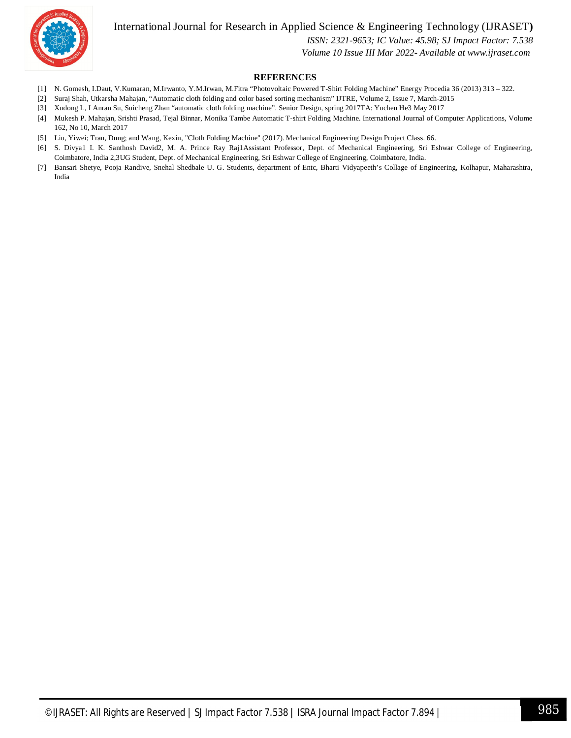International Journal for Research in Applied Science & Engineering Technology (IJRASET**)**



 *ISSN: 2321-9653; IC Value: 45.98; SJ Impact Factor: 7.538*

 *Volume 10 Issue III Mar 2022- Available at www.ijraset.com*

#### **REFERENCES**

- [1] N. Gomesh, I.Daut, V.Kumaran, M.Irwanto, Y.M.Irwan, M.Fitra "Photovoltaic Powered T-Shirt Folding Machine" Energy Procedia 36 (2013) 313 322.
- [2] Suraj Shah, Utkarsha Mahajan, "Automatic cloth folding and color based sorting mechanism" IJTRE, Volume 2, Issue 7, March-2015
- [3] Xudong L, I Anran Su, Suicheng Zhan "automatic cloth folding machine". Senior Design, spring 2017TA: Yuchen He3 May 2017
- [4] Mukesh P. Mahajan, Srishti Prasad, Tejal Binnar, Monika Tambe Automatic T-shirt Folding Machine. International Journal of Computer Applications, Volume 162, No 10, March 2017
- [5] Liu, Yiwei; Tran, Dung; and Wang, Kexin, "Cloth Folding Machine" (2017). Mechanical Engineering Design Project Class. 66.
- [6] S. Divya1 I. K. Santhosh David2, M. A. Prince Ray Raj1Assistant Professor, Dept. of Mechanical Engineering, Sri Eshwar College of Engineering, Coimbatore, India 2,3UG Student, Dept. of Mechanical Engineering, Sri Eshwar College of Engineering, Coimbatore, India.
- [7] Bansari Shetye, Pooja Randive, Snehal Shedbale U. G. Students, department of Entc, Bharti Vidyapeeth's Collage of Engineering, Kolhapur, Maharashtra, India